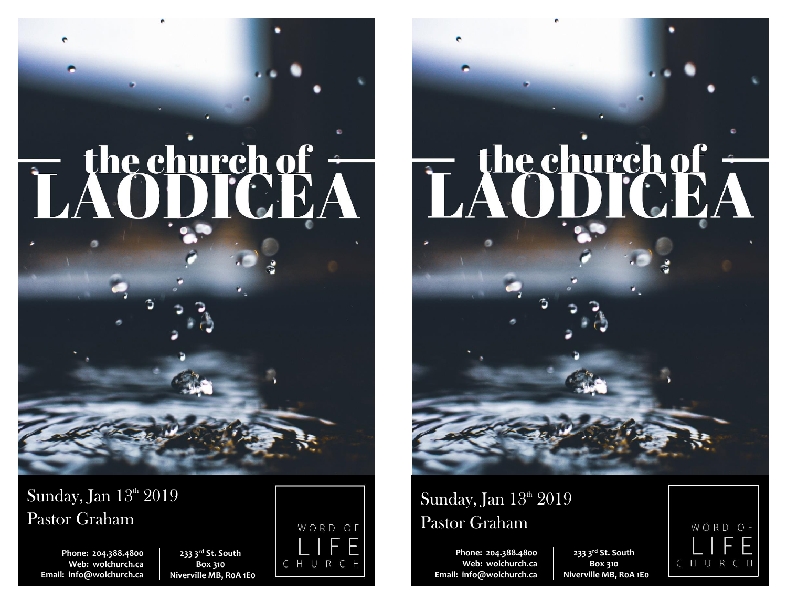

Sunday, Jan  $13<sup>th</sup> 2019$ Pastor Graham

**Phone: 204.388.4800 Web: wolchurch.ca Email: [info@wolchurch.ca](mailto:info@wolchurch.ca)**

**233 3rd St. South Box 310 Niverville MB, R0A 1E0**



# LAODICE/

## Sunday, Jan  $13^{\text{th}}$   $2019$ Pastor Graham

**Phone: 204.388.4800 Web: wolchurch.ca Email: [info@wolchurch.ca](mailto:info@wolchurch.ca)**

**233 3rd St. South Box 310 Niverville MB, R0A 1E0**

WORD OF CHURC